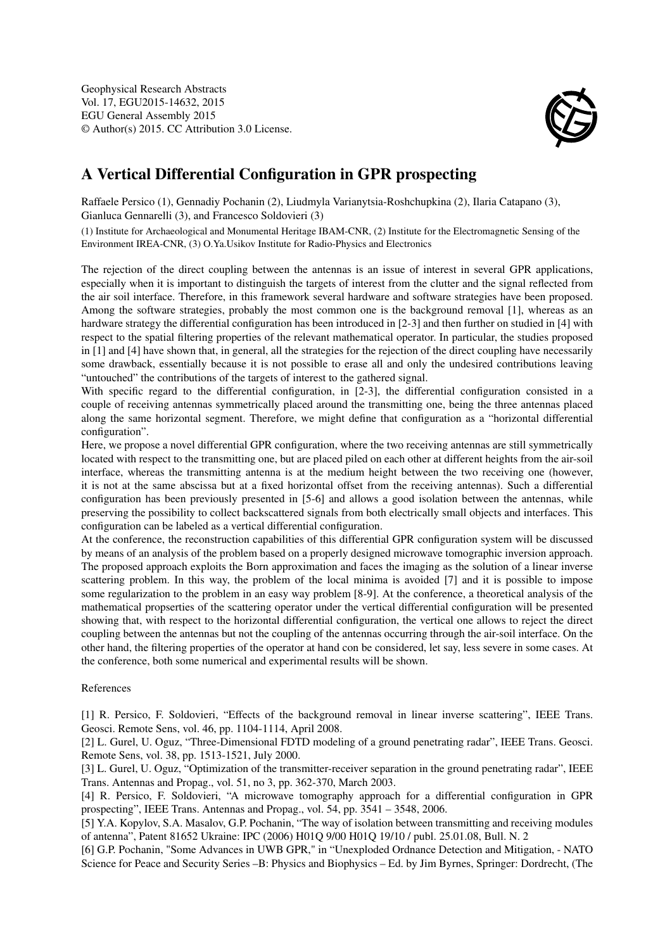

## A Vertical Differential Configuration in GPR prospecting

Raffaele Persico (1), Gennadiy Pochanin (2), Liudmyla Varianytsia-Roshchupkina (2), Ilaria Catapano (3), Gianluca Gennarelli (3), and Francesco Soldovieri (3)

(1) Institute for Archaeological and Monumental Heritage IBAM-CNR, (2) Institute for the Electromagnetic Sensing of the Environment IREA-CNR, (3) O.Ya.Usikov Institute for Radio-Physics and Electronics

The rejection of the direct coupling between the antennas is an issue of interest in several GPR applications, especially when it is important to distinguish the targets of interest from the clutter and the signal reflected from the air soil interface. Therefore, in this framework several hardware and software strategies have been proposed. Among the software strategies, probably the most common one is the background removal [1], whereas as an hardware strategy the differential configuration has been introduced in [2-3] and then further on studied in [4] with respect to the spatial filtering properties of the relevant mathematical operator. In particular, the studies proposed in [1] and [4] have shown that, in general, all the strategies for the rejection of the direct coupling have necessarily some drawback, essentially because it is not possible to erase all and only the undesired contributions leaving "untouched" the contributions of the targets of interest to the gathered signal.

With specific regard to the differential configuration, in [2-3], the differential configuration consisted in a couple of receiving antennas symmetrically placed around the transmitting one, being the three antennas placed along the same horizontal segment. Therefore, we might define that configuration as a "horizontal differential configuration".

Here, we propose a novel differential GPR configuration, where the two receiving antennas are still symmetrically located with respect to the transmitting one, but are placed piled on each other at different heights from the air-soil interface, whereas the transmitting antenna is at the medium height between the two receiving one (however, it is not at the same abscissa but at a fixed horizontal offset from the receiving antennas). Such a differential configuration has been previously presented in [5-6] and allows a good isolation between the antennas, while preserving the possibility to collect backscattered signals from both electrically small objects and interfaces. This configuration can be labeled as a vertical differential configuration.

At the conference, the reconstruction capabilities of this differential GPR configuration system will be discussed by means of an analysis of the problem based on a properly designed microwave tomographic inversion approach. The proposed approach exploits the Born approximation and faces the imaging as the solution of a linear inverse scattering problem. In this way, the problem of the local minima is avoided [7] and it is possible to impose some regularization to the problem in an easy way problem [8-9]. At the conference, a theoretical analysis of the mathematical propserties of the scattering operator under the vertical differential configuration will be presented showing that, with respect to the horizontal differential configuration, the vertical one allows to reject the direct coupling between the antennas but not the coupling of the antennas occurring through the air-soil interface. On the other hand, the filtering properties of the operator at hand con be considered, let say, less severe in some cases. At the conference, both some numerical and experimental results will be shown.

## References

[1] R. Persico, F. Soldovieri, "Effects of the background removal in linear inverse scattering", IEEE Trans. Geosci. Remote Sens, vol. 46, pp. 1104-1114, April 2008.

[2] L. Gurel, U. Oguz, "Three-Dimensional FDTD modeling of a ground penetrating radar", IEEE Trans. Geosci. Remote Sens, vol. 38, pp. 1513-1521, July 2000.

[3] L. Gurel, U. Oguz, "Optimization of the transmitter-receiver separation in the ground penetrating radar", IEEE Trans. Antennas and Propag., vol. 51, no 3, pp. 362-370, March 2003.

[4] R. Persico, F. Soldovieri, "A microwave tomography approach for a differential configuration in GPR prospecting", IEEE Trans. Antennas and Propag., vol. 54, pp. 3541 – 3548, 2006.

[5] Y.A. Kopylov, S.A. Masalov, G.P. Pochanin, "The way of isolation between transmitting and receiving modules of antenna", Patent 81652 Ukraine: IPC (2006) H01Q 9/00 H01Q 19/10 / publ. 25.01.08, Bull. N. 2

[6] G.P. Pochanin, "Some Advances in UWB GPR," in "Unexploded Ordnance Detection and Mitigation, - NATO Science for Peace and Security Series –B: Physics and Biophysics – Ed. by Jim Byrnes, Springer: Dordrecht, (The